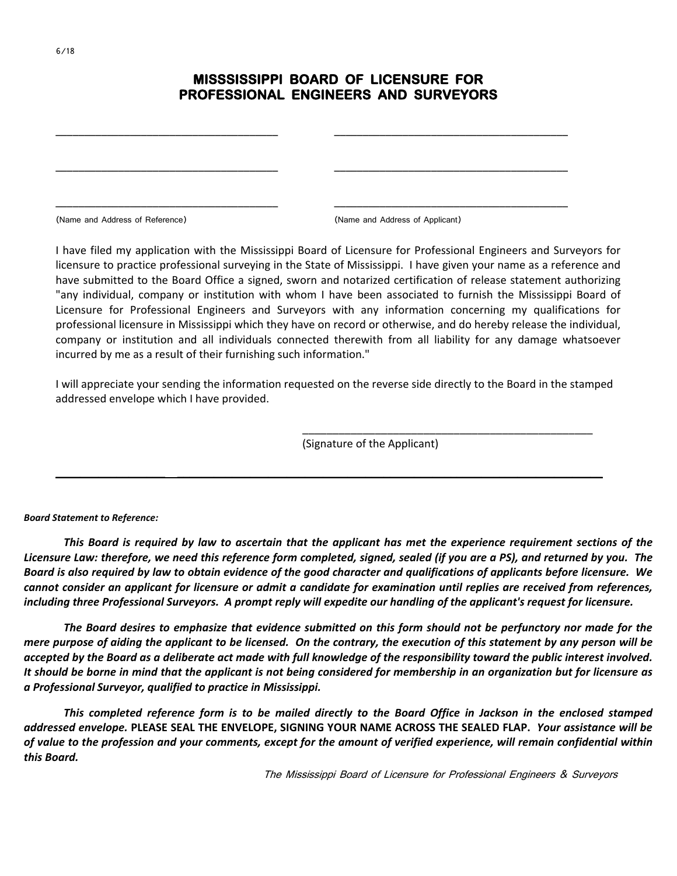## **MISSSISSIPPI BOARD OF LICENSURE FOR PROFESSIONAL ENGINEERS AND SURVEYORS**

\_\_\_\_\_\_\_\_\_\_\_\_\_\_\_\_\_\_\_\_\_\_\_\_\_\_\_\_\_\_\_\_\_\_\_\_\_\_\_ \_\_\_\_\_\_\_\_\_\_\_\_\_\_\_\_\_\_\_\_\_\_\_\_\_\_\_\_\_\_\_\_\_\_\_\_\_\_\_\_\_

\_\_\_\_\_\_\_\_\_\_\_\_\_\_\_\_\_\_\_\_\_\_\_\_\_\_\_\_\_\_\_\_\_\_\_\_\_\_\_ \_\_\_\_\_\_\_\_\_\_\_\_\_\_\_\_\_\_\_\_\_\_\_\_\_\_\_\_\_\_\_\_\_\_\_\_\_\_\_\_\_

\_\_\_\_\_\_\_\_\_\_\_\_\_\_\_\_\_\_\_\_\_\_\_\_\_\_\_\_\_\_\_\_\_\_\_\_\_\_\_ \_\_\_\_\_\_\_\_\_\_\_\_\_\_\_\_\_\_\_\_\_\_\_\_\_\_\_\_\_\_\_\_\_\_\_\_\_\_\_\_\_

(Name and Address of Reference) (Name and Address of Applicant)

I have filed my application with the Mississippi Board of Licensure for Professional Engineers and Surveyors for licensure to practice professional surveying in the State of Mississippi. I have given your name as a reference and have submitted to the Board Office a signed, sworn and notarized certification of release statement authorizing "any individual, company or institution with whom I have been associated to furnish the Mississippi Board of Licensure for Professional Engineers and Surveyors with any information concerning my qualifications for professional licensure in Mississippi which they have on record or otherwise, and do hereby release the individual, company or institution and all individuals connected therewith from all liability for any damage whatsoever incurred by me as a result of their furnishing such information."

I will appreciate your sending the information requested on the reverse side directly to the Board in the stamped addressed envelope which I have provided.

**\_\_\_\_\_\_\_\_\_\_\_\_\_\_\_\_\_\_ \_\_\_\_\_\_\_\_\_\_\_\_\_\_\_\_\_\_\_\_\_\_\_\_\_\_\_\_\_\_\_\_\_\_\_\_\_\_\_\_\_\_\_\_\_\_\_\_\_\_\_\_\_\_\_\_\_\_\_\_\_\_\_\_\_\_\_\_\_\_**

(Signature of the Applicant)

*Board Statement to Reference:*

*This Board is required by law to ascertain that the applicant has met the experience requirement sections of the Licensure Law: therefore, we need this reference form completed, signed, sealed (if you are a PS), and returned by you. The Board is also required by law to obtain evidence of the good character and qualifications of applicants before licensure. We cannot consider an applicant for licensure or admit a candidate for examination until replies are received from references, including three Professional Surveyors. A prompt reply will expedite our handling of the applicant's request for licensure.*

*The Board desires to emphasize that evidence submitted on this form should not be perfunctory nor made for the mere purpose of aiding the applicant to be licensed. On the contrary, the execution of this statement by any person will be accepted by the Board as a deliberate act made with full knowledge of the responsibility toward the public interest involved. It should be borne in mind that the applicant is not being considered for membership in an organization but for licensure as a Professional Surveyor, qualified to practice in Mississippi.*

*This completed reference form is to be mailed directly to the Board Office in Jackson in the enclosed stamped addressed envelope.* **PLEASE SEAL THE ENVELOPE, SIGNING YOUR NAME ACROSS THE SEALED FLAP.** *Your assistance will be of value to the profession and your comments, except for the amount of verified experience, will remain confidential within this Board.*

The Mississippi Board of Licensure for Professional Engineers & Surveyors

\_\_\_\_\_\_\_\_\_\_\_\_\_\_\_\_\_\_\_\_\_\_\_\_\_\_\_\_\_\_\_\_\_\_\_\_\_\_\_\_\_\_\_\_\_\_\_\_